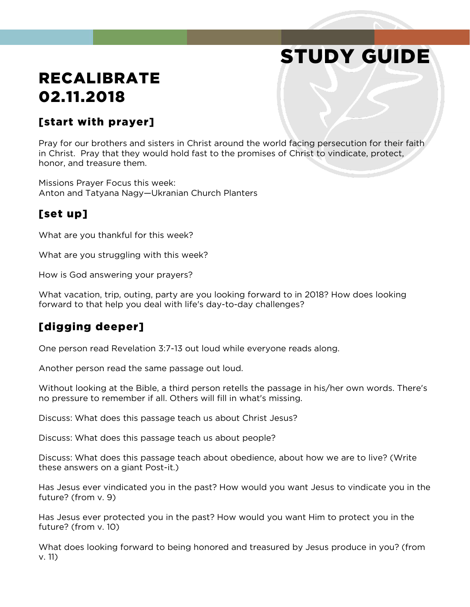# STUDY GUIDE

# RECALIBRATE 02.11.2018

#### [start with prayer]

Pray for our brothers and sisters in Christ around the world facing persecution for their faith in Christ. Pray that they would hold fast to the promises of Christ to vindicate, protect, honor, and treasure them.

Missions Prayer Focus this week: Anton and Tatyana Nagy—Ukranian Church Planters

#### [set up]

What are you thankful for this week?

What are you struggling with this week?

How is God answering your prayers?

What vacation, trip, outing, party are you looking forward to in 2018? How does looking forward to that help you deal with life's day-to-day challenges?

#### [digging deeper]

One person read Revelation 3:7-13 out loud while everyone reads along.

Another person read the same passage out loud.

Without looking at the Bible, a third person retells thepassage in his/her own words. There's no pressure to remember if all. Others will fill in what's missing.

Discuss: What does this passage teach us about Christ Jesus?

Discuss: What does this passage teach us about people?

Discuss: What does this passage teach about obedience, about how we are to live? (Write these answers on a giant Post-it.)

Has Jesus ever vindicated you in the past? How would you want Jesus to vindicate you in the future? (from v. 9)

Has Jesus ever protected you in the past? How would you want Him to protect you in the future? (from v. 10)

What does looking forward to being honored and treasured by Jesus produce in you? (from v. 11)